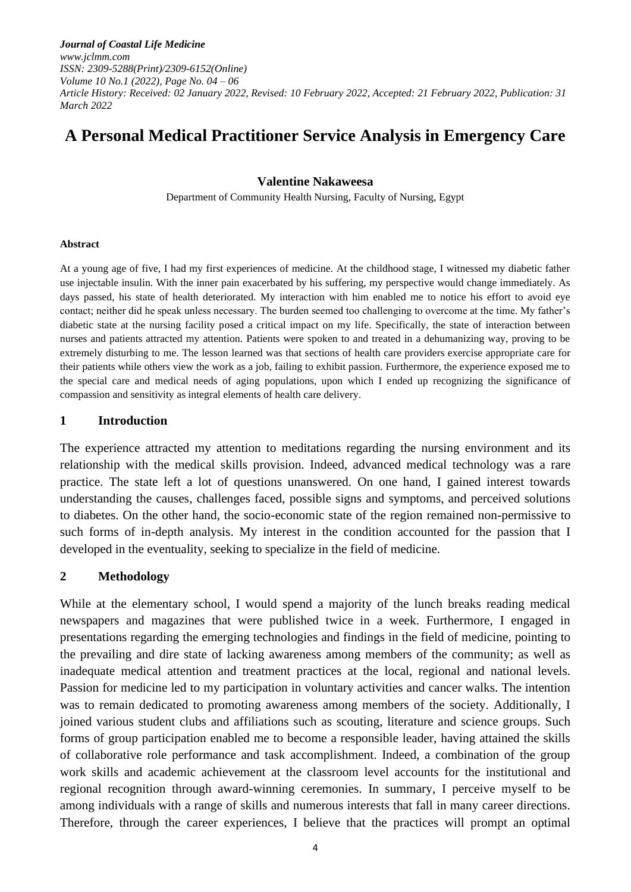*Journal of Coastal Life Medicine www.jclmm.com ISSN: 2309-5288(Print)/2309-6152(Online) Volume 10 No.1 (2022), Page No. 04 – 06 Article History: Received: 02 January 2022, Revised: 10 February 2022, Accepted: 21 February 2022, Publication: 31 March 2022*

# **A Personal Medical Practitioner Service Analysis in Emergency Care**

#### **Valentine Nakaweesa**

Department of Community Health Nursing, Faculty of Nursing, Egypt

#### **Abstract**

At a young age of five, I had my first experiences of medicine. At the childhood stage, I witnessed my diabetic father use injectable insulin. With the inner pain exacerbated by his suffering, my perspective would change immediately. As days passed, his state of health deteriorated. My interaction with him enabled me to notice his effort to avoid eye contact; neither did he speak unless necessary. The burden seemed too challenging to overcome at the time. My father's diabetic state at the nursing facility posed a critical impact on my life. Specifically, the state of interaction between nurses and patients attracted my attention. Patients were spoken to and treated in a dehumanizing way, proving to be extremely disturbing to me. The lesson learned was that sections of health care providers exercise appropriate care for their patients while others view the work as a job, failing to exhibit passion. Furthermore, the experience exposed me to the special care and medical needs of aging populations, upon which I ended up recognizing the significance of compassion and sensitivity as integral elements of health care delivery.

#### **1 Introduction**

The experience attracted my attention to meditations regarding the nursing environment and its relationship with the medical skills provision. Indeed, advanced medical technology was a rare practice. The state left a lot of questions unanswered. On one hand, I gained interest towards understanding the causes, challenges faced, possible signs and symptoms, and perceived solutions to diabetes. On the other hand, the socio-economic state of the region remained non-permissive to such forms of in-depth analysis. My interest in the condition accounted for the passion that I developed in the eventuality, seeking to specialize in the field of medicine.

### **2 Methodology**

While at the elementary school, I would spend a majority of the lunch breaks reading medical newspapers and magazines that were published twice in a week. Furthermore, I engaged in presentations regarding the emerging technologies and findings in the field of medicine, pointing to the prevailing and dire state of lacking awareness among members of the community; as well as inadequate medical attention and treatment practices at the local, regional and national levels. Passion for medicine led to my participation in voluntary activities and cancer walks. The intention was to remain dedicated to promoting awareness among members of the society. Additionally, I joined various student clubs and affiliations such as scouting, literature and science groups. Such forms of group participation enabled me to become a responsible leader, having attained the skills of collaborative role performance and task accomplishment. Indeed, a combination of the group work skills and academic achievement at the classroom level accounts for the institutional and regional recognition through award-winning ceremonies. In summary, I perceive myself to be among individuals with a range of skills and numerous interests that fall in many career directions. Therefore, through the career experiences, I believe that the practices will prompt an optimal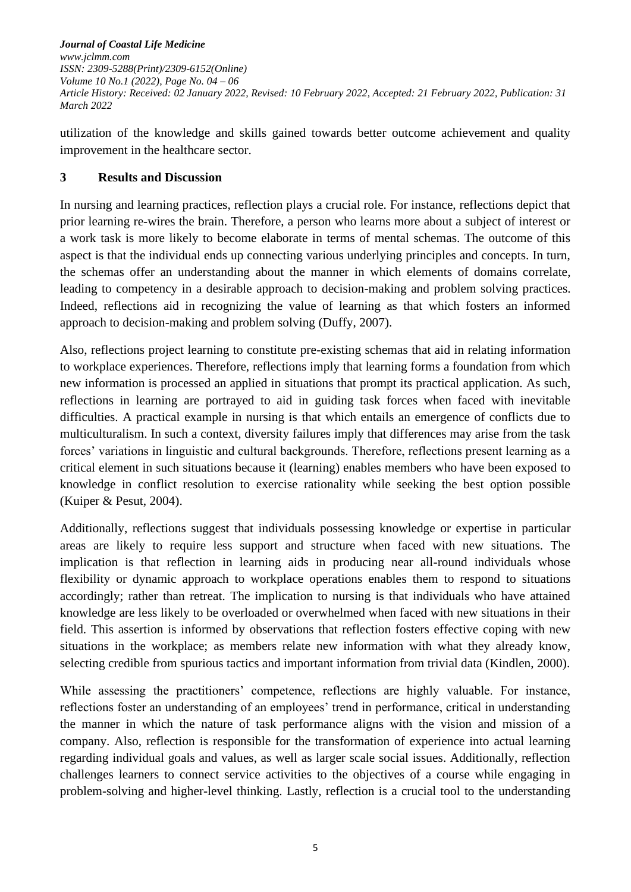*Journal of Coastal Life Medicine www.jclmm.com ISSN: 2309-5288(Print)/2309-6152(Online) Volume 10 No.1 (2022), Page No. 04 – 06 Article History: Received: 02 January 2022, Revised: 10 February 2022, Accepted: 21 February 2022, Publication: 31 March 2022*

utilization of the knowledge and skills gained towards better outcome achievement and quality improvement in the healthcare sector.

# **3 Results and Discussion**

In nursing and learning practices, reflection plays a crucial role. For instance, reflections depict that prior learning re-wires the brain. Therefore, a person who learns more about a subject of interest or a work task is more likely to become elaborate in terms of mental schemas. The outcome of this aspect is that the individual ends up connecting various underlying principles and concepts. In turn, the schemas offer an understanding about the manner in which elements of domains correlate, leading to competency in a desirable approach to decision-making and problem solving practices. Indeed, reflections aid in recognizing the value of learning as that which fosters an informed approach to decision-making and problem solving (Duffy, 2007).

Also, reflections project learning to constitute pre-existing schemas that aid in relating information to workplace experiences. Therefore, reflections imply that learning forms a foundation from which new information is processed an applied in situations that prompt its practical application. As such, reflections in learning are portrayed to aid in guiding task forces when faced with inevitable difficulties. A practical example in nursing is that which entails an emergence of conflicts due to multiculturalism. In such a context, diversity failures imply that differences may arise from the task forces' variations in linguistic and cultural backgrounds. Therefore, reflections present learning as a critical element in such situations because it (learning) enables members who have been exposed to knowledge in conflict resolution to exercise rationality while seeking the best option possible (Kuiper & Pesut, 2004).

Additionally, reflections suggest that individuals possessing knowledge or expertise in particular areas are likely to require less support and structure when faced with new situations. The implication is that reflection in learning aids in producing near all-round individuals whose flexibility or dynamic approach to workplace operations enables them to respond to situations accordingly; rather than retreat. The implication to nursing is that individuals who have attained knowledge are less likely to be overloaded or overwhelmed when faced with new situations in their field. This assertion is informed by observations that reflection fosters effective coping with new situations in the workplace; as members relate new information with what they already know, selecting credible from spurious tactics and important information from trivial data (Kindlen, 2000).

While assessing the practitioners' competence, reflections are highly valuable. For instance, reflections foster an understanding of an employees' trend in performance, critical in understanding the manner in which the nature of task performance aligns with the vision and mission of a company. Also, reflection is responsible for the transformation of experience into actual learning regarding individual goals and values, as well as larger scale social issues. Additionally, reflection challenges learners to connect service activities to the objectives of a course while engaging in problem-solving and higher-level thinking. Lastly, reflection is a crucial tool to the understanding